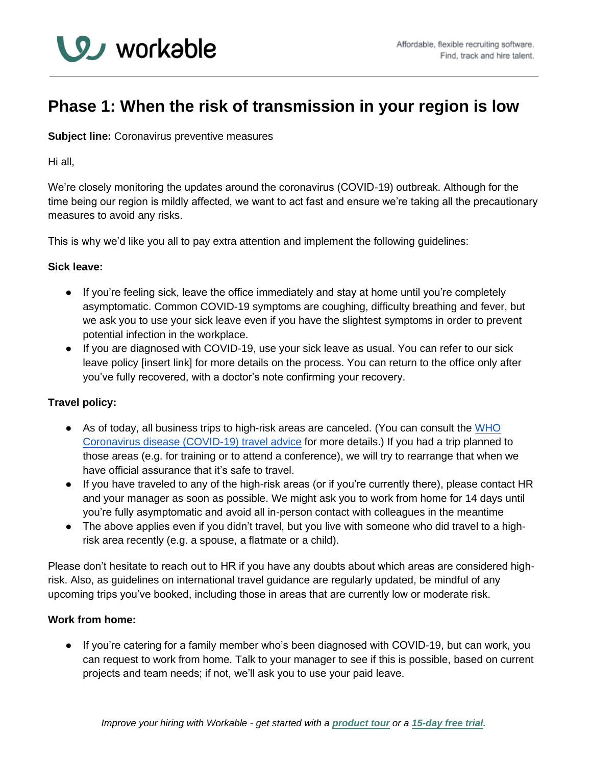

# **Phase 1: When the risk of transmission in your region is low**

**Subject line:** Coronavirus preventive measures

Hi all,

We're closely monitoring the updates around the coronavirus (COVID-19) outbreak. Although for the time being our region is mildly affected, we want to act fast and ensure we're taking all the precautionary measures to avoid any risks.

This is why we'd like you all to pay extra attention and implement the following guidelines:

## **Sick leave:**

- If you're feeling sick, leave the office immediately and stay at home until you're completely asymptomatic. Common COVID-19 symptoms are coughing, difficulty breathing and fever, but we ask you to use your sick leave even if you have the slightest symptoms in order to prevent potential infection in the workplace.
- If you are diagnosed with COVID-19, use your sick leave as usual. You can refer to our sick leave policy [insert link] for more details on the process. You can return to the office only after you've fully recovered, with a doctor's note confirming your recovery.

## **Travel policy:**

- As of today, all busin[e](https://www.who.int/emergencies/diseases/novel-coronavirus-2019/travel-advice)ss trips to high-risk areas are canceled. (You can consult the WHO [Coronavirus disease \(COVID-19\) travel advice](https://www.who.int/emergencies/diseases/novel-coronavirus-2019/travel-advice) for more details.) If you had a trip planned to those areas (e.g. for training or to attend a conference), we will try to rearrange that when we have official assurance that it's safe to travel.
- If you have traveled to any of the high-risk areas (or if you're currently there), please contact HR and your manager as soon as possible. We might ask you to work from home for 14 days until you're fully asymptomatic and avoid all in-person contact with colleagues in the meantime
- The above applies even if you didn't travel, but you live with someone who did travel to a highrisk area recently (e.g. a spouse, a flatmate or a child).

Please don't hesitate to reach out to HR if you have any doubts about which areas are considered highrisk. Also, as guidelines on international travel guidance are regularly updated, be mindful of any upcoming trips you've booked, including those in areas that are currently low or moderate risk.

## **Work from home:**

● If you're catering for a family member who's been diagnosed with COVID-19, but can work, you can request to work from home. Talk to your manager to see if this is possible, based on current projects and team needs; if not, we'll ask you to use your paid leave.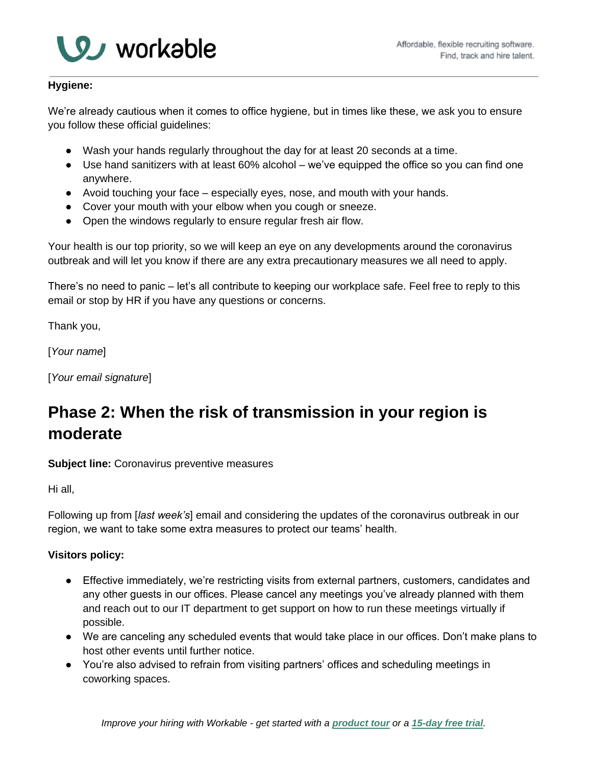

## **Hygiene:**

We're already cautious when it comes to office hygiene, but in times like these, we ask you to ensure you follow these official guidelines:

- Wash your hands regularly throughout the day for at least 20 seconds at a time.
- Use hand sanitizers with at least 60% alcohol we've equipped the office so you can find one anywhere.
- Avoid touching your face especially eyes, nose, and mouth with your hands.
- Cover your mouth with your elbow when you cough or sneeze.
- Open the windows regularly to ensure regular fresh air flow.

Your health is our top priority, so we will keep an eye on any developments around the coronavirus outbreak and will let you know if there are any extra precautionary measures we all need to apply.

There's no need to panic – let's all contribute to keeping our workplace safe. Feel free to reply to this email or stop by HR if you have any questions or concerns.

Thank you,

[*Your name*]

[*Your email signature*]

# **Phase 2: When the risk of transmission in your region is moderate**

**Subject line:** Coronavirus preventive measures

Hi all,

Following up from [*last week's*] email and considering the updates of the coronavirus outbreak in our region, we want to take some extra measures to protect our teams' health.

# **Visitors policy:**

- Effective immediately, we're restricting visits from external partners, customers, candidates and any other guests in our offices. Please cancel any meetings you've already planned with them and reach out to our IT department to get support on how to run these meetings virtually if possible.
- We are canceling any scheduled events that would take place in our offices. Don't make plans to host other events until further notice.
- You're also advised to refrain from visiting partners' offices and scheduling meetings in coworking spaces.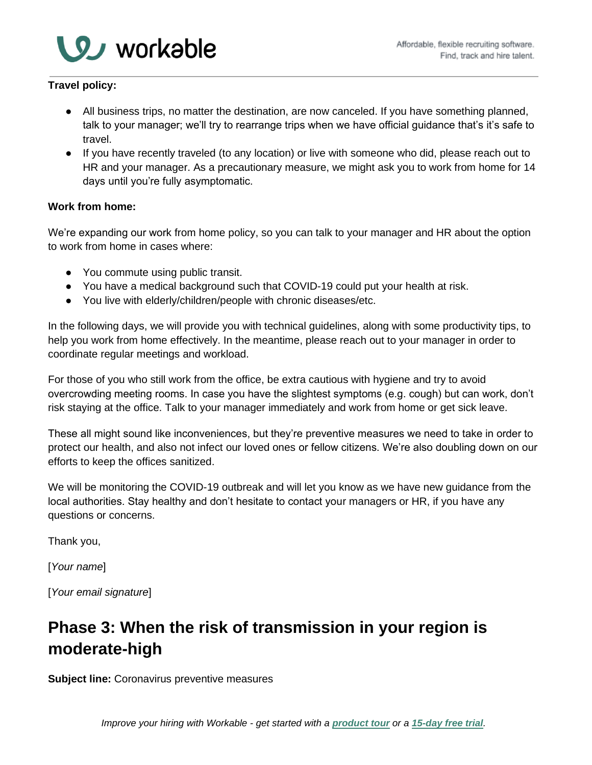

# **Travel policy:**

- All business trips, no matter the destination, are now canceled. If you have something planned, talk to your manager; we'll try to rearrange trips when we have official guidance that's it's safe to travel.
- If you have recently traveled (to any location) or live with someone who did, please reach out to HR and your manager. As a precautionary measure, we might ask you to work from home for 14 days until you're fully asymptomatic.

## **Work from home:**

We're expanding our work from home policy, so you can talk to your manager and HR about the option to work from home in cases where:

- You commute using public transit.
- You have a medical background such that COVID-19 could put your health at risk.
- You live with elderly/children/people with chronic diseases/etc.

In the following days, we will provide you with technical guidelines, along with some productivity tips, to help you work from home effectively. In the meantime, please reach out to your manager in order to coordinate regular meetings and workload.

For those of you who still work from the office, be extra cautious with hygiene and try to avoid overcrowding meeting rooms. In case you have the slightest symptoms (e.g. cough) but can work, don't risk staying at the office. Talk to your manager immediately and work from home or get sick leave.

These all might sound like inconveniences, but they're preventive measures we need to take in order to protect our health, and also not infect our loved ones or fellow citizens. We're also doubling down on our efforts to keep the offices sanitized.

We will be monitoring the COVID-19 outbreak and will let you know as we have new guidance from the local authorities. Stay healthy and don't hesitate to contact your managers or HR, if you have any questions or concerns.

Thank you,

[*Your name*]

[*Your email signature*]

# **Phase 3: When the risk of transmission in your region is moderate-high**

**Subject line:** Coronavirus preventive measures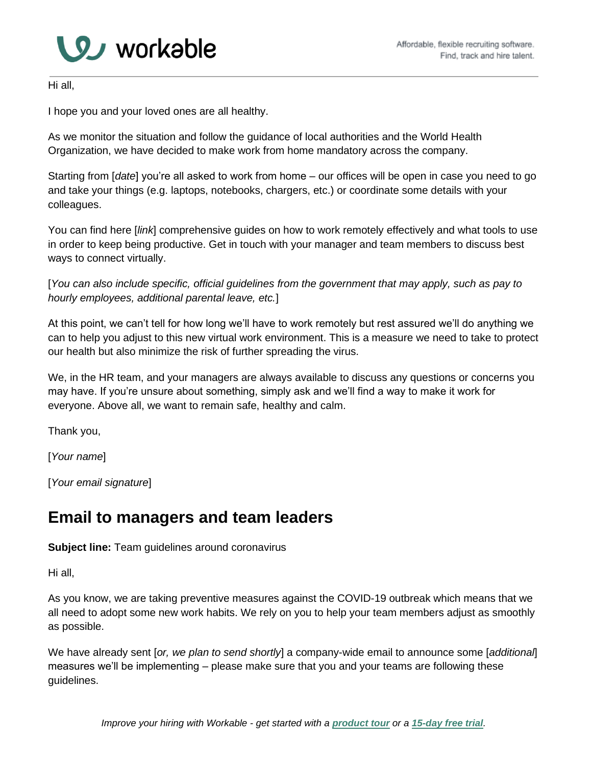

Hi all,

I hope you and your loved ones are all healthy.

As we monitor the situation and follow the guidance of local authorities and the World Health Organization, we have decided to make work from home mandatory across the company.

Starting from [*date*] you're all asked to work from home – our offices will be open in case you need to go and take your things (e.g. laptops, notebooks, chargers, etc.) or coordinate some details with your colleagues.

You can find here [*link*] comprehensive guides on how to work remotely effectively and what tools to use in order to keep being productive. Get in touch with your manager and team members to discuss best ways to connect virtually.

[*You can also include specific, official guidelines from the government that may apply, such as pay to hourly employees, additional parental leave, etc.*]

At this point, we can't tell for how long we'll have to work remotely but rest assured we'll do anything we can to help you adjust to this new virtual work environment. This is a measure we need to take to protect our health but also minimize the risk of further spreading the virus.

We, in the HR team, and your managers are always available to discuss any questions or concerns you may have. If you're unsure about something, simply ask and we'll find a way to make it work for everyone. Above all, we want to remain safe, healthy and calm.

Thank you,

[*Your name*]

[*Your email signature*]

# **Email to managers and team leaders**

**Subject line:** Team guidelines around coronavirus

Hi all,

As you know, we are taking preventive measures against the COVID-19 outbreak which means that we all need to adopt some new work habits. We rely on you to help your team members adjust as smoothly as possible.

We have already sent [*or, we plan to send shortly*] a company-wide email to announce some [*additional*] measures we'll be implementing – please make sure that you and your teams are following these guidelines.